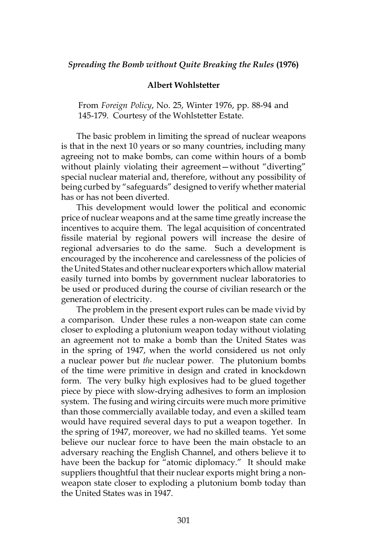### **Albert Wohlstetter**

From *Foreign Policy*, No. 25, Winter 1976, pp. 88-94 and 145-179. Courtesy of the Wohlstetter Estate.

The basic problem in limiting the spread of nuclear weapons is that in the next 10 years or so many countries, including many agreeing not to make bombs, can come within hours of a bomb without plainly violating their agreement—without "diverting" special nuclear material and, therefore, without any possibility of being curbed by "safeguards" designed to verify whether material has or has not been diverted.

This development would lower the political and economic price of nuclear weapons and at the same time greatly increase the incentives to acquire them. The legal acquisition of concentrated fissile material by regional powers will increase the desire of regional adversaries to do the same. Such a development is encouraged by the incoherence and carelessness of the policies of the United States and other nuclear exporters which allow material easily turned into bombs by government nuclear laboratories to be used or produced during the course of civilian research or the generation of electricity.

The problem in the present export rules can be made vivid by a comparison. Under these rules a non-weapon state can come closer to exploding a plutonium weapon today without violating an agreement not to make a bomb than the United States was in the spring of 1947, when the world considered us not only a nuclear power but *the* nuclear power. The plutonium bombs of the time were primitive in design and crated in knockdown form. The very bulky high explosives had to be glued together piece by piece with slow-drying adhesives to form an implosion system. The fusing and wiring circuits were much more primitive than those commercially available today, and even a skilled team would have required several days to put a weapon together. In the spring of 1947, moreover, we had no skilled teams. Yet some believe our nuclear force to have been the main obstacle to an adversary reaching the English Channel, and others believe it to have been the backup for "atomic diplomacy." It should make suppliers thoughtful that their nuclear exports might bring a nonweapon state closer to exploding a plutonium bomb today than the United States was in 1947.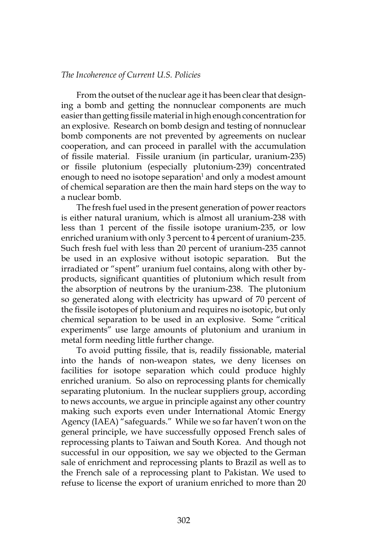### *The Incoherence of Current U.S. Policies*

From the outset of the nuclear age it has been clear that designing a bomb and getting the nonnuclear components are much easier than getting fissile material in high enough concentration for an explosive. Research on bomb design and testing of nonnuclear bomb components are not prevented by agreements on nuclear cooperation, and can proceed in parallel with the accumulation of fissile material. Fissile uranium (in particular, uranium-235) or fissile plutonium (especially plutonium-239) concentrated enough to need no isotope separation<sup>1</sup> and only a modest amount of chemical separation are then the main hard steps on the way to a nuclear bomb.

The fresh fuel used in the present generation of power reactors is either natural uranium, which is almost all uranium-238 with less than 1 percent of the fissile isotope uranium-235, or low enriched uranium with only 3 percent to 4 percent of uranium-235. Such fresh fuel with less than 20 percent of uranium-235 cannot be used in an explosive without isotopic separation. But the irradiated or "spent" uranium fuel contains, along with other byproducts, significant quantities of plutonium which result from the absorption of neutrons by the uranium-238. The plutonium so generated along with electricity has upward of 70 percent of the fissile isotopes of plutonium and requires no isotopic, but only chemical separation to be used in an explosive. Some "critical experiments" use large amounts of plutonium and uranium in metal form needing little further change.

To avoid putting fissile, that is, readily fissionable, material into the hands of non-weapon states, we deny licenses on facilities for isotope separation which could produce highly enriched uranium. So also on reprocessing plants for chemically separating plutonium. In the nuclear suppliers group, according to news accounts, we argue in principle against any other country making such exports even under International Atomic Energy Agency (IAEA) "safeguards." While we so far haven't won on the general principle, we have successfully opposed French sales of reprocessing plants to Taiwan and South Korea. And though not successful in our opposition, we say we objected to the German sale of enrichment and reprocessing plants to Brazil as well as to the French sale of a reprocessing plant to Pakistan. We used to refuse to license the export of uranium enriched to more than 20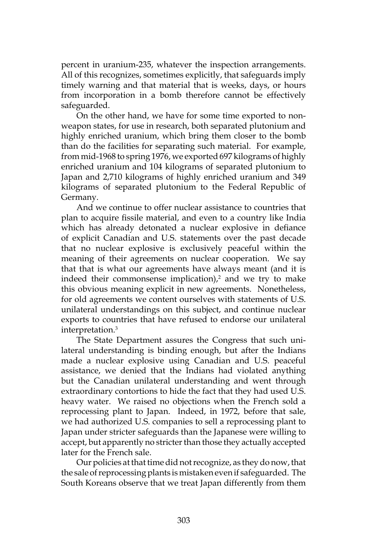percent in uranium-235, whatever the inspection arrangements. All of this recognizes, sometimes explicitly, that safeguards imply timely warning and that material that is weeks, days, or hours from incorporation in a bomb therefore cannot be effectively safeguarded.

On the other hand, we have for some time exported to nonweapon states, for use in research, both separated plutonium and highly enriched uranium, which bring them closer to the bomb than do the facilities for separating such material. For example, from mid-1968 to spring 1976, we exported 697 kilograms of highly enriched uranium and 104 kilograms of separated plutonium to Japan and 2,710 kilograms of highly enriched uranium and 349 kilograms of separated plutonium to the Federal Republic of Germany.

And we continue to offer nuclear assistance to countries that plan to acquire fissile material, and even to a country like India which has already detonated a nuclear explosive in defiance of explicit Canadian and U.S. statements over the past decade that no nuclear explosive is exclusively peaceful within the meaning of their agreements on nuclear cooperation. We say that that is what our agreements have always meant (and it is indeed their commonsense implication), $2$  and we try to make this obvious meaning explicit in new agreements. Nonetheless, for old agreements we content ourselves with statements of U.S. unilateral understandings on this subject, and continue nuclear exports to countries that have refused to endorse our unilateral interpretation.3

The State Department assures the Congress that such unilateral understanding is binding enough, but after the Indians made a nuclear explosive using Canadian and U.S. peaceful assistance, we denied that the Indians had violated anything but the Canadian unilateral understanding and went through extraordinary contortions to hide the fact that they had used U.S. heavy water. We raised no objections when the French sold a reprocessing plant to Japan. Indeed, in 1972, before that sale, we had authorized U.S. companies to sell a reprocessing plant to Japan under stricter safeguards than the Japanese were willing to accept, but apparently no stricter than those they actually accepted later for the French sale.

Our policies at that time did not recognize, as they do now, that the sale of reprocessing plants is mistaken even if safeguarded. The South Koreans observe that we treat Japan differently from them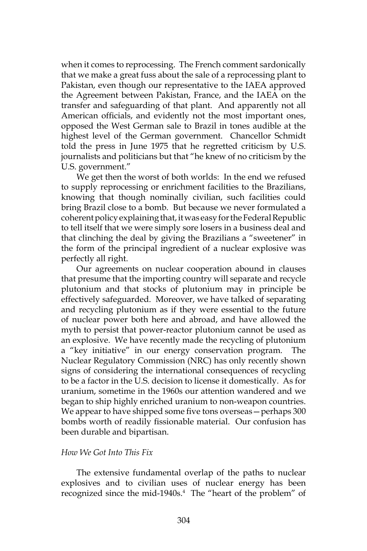when it comes to reprocessing. The French comment sardonically that we make a great fuss about the sale of a reprocessing plant to Pakistan, even though our representative to the IAEA approved the Agreement between Pakistan, France, and the IAEA on the transfer and safeguarding of that plant. And apparently not all American officials, and evidently not the most important ones, opposed the West German sale to Brazil in tones audible at the highest level of the German government. Chancellor Schmidt told the press in June 1975 that he regretted criticism by U.S. journalists and politicians but that "he knew of no criticism by the U.S. government."

We get then the worst of both worlds: In the end we refused to supply reprocessing or enrichment facilities to the Brazilians, knowing that though nominally civilian, such facilities could bring Brazil close to a bomb. But because we never formulated a coherent policy explaining that, it was easy for the Federal Republic to tell itself that we were simply sore losers in a business deal and that clinching the deal by giving the Brazilians a "sweetener" in the form of the principal ingredient of a nuclear explosive was perfectly all right.

Our agreements on nuclear cooperation abound in clauses that presume that the importing country will separate and recycle plutonium and that stocks of plutonium may in principle be effectively safeguarded. Moreover, we have talked of separating and recycling plutonium as if they were essential to the future of nuclear power both here and abroad, and have allowed the myth to persist that power-reactor plutonium cannot be used as an explosive. We have recently made the recycling of plutonium a "key initiative" in our energy conservation program. The Nuclear Regulatory Commission (NRC) has only recently shown signs of considering the international consequences of recycling to be a factor in the U.S. decision to license it domestically. As for uranium, sometime in the 1960s our attention wandered and we began to ship highly enriched uranium to non-weapon countries. We appear to have shipped some five tons overseas—perhaps 300 bombs worth of readily fissionable material. Our confusion has been durable and bipartisan.

# *How We Got Into This Fix*

The extensive fundamental overlap of the paths to nuclear explosives and to civilian uses of nuclear energy has been recognized since the mid-1940s.<sup>4</sup> The "heart of the problem" of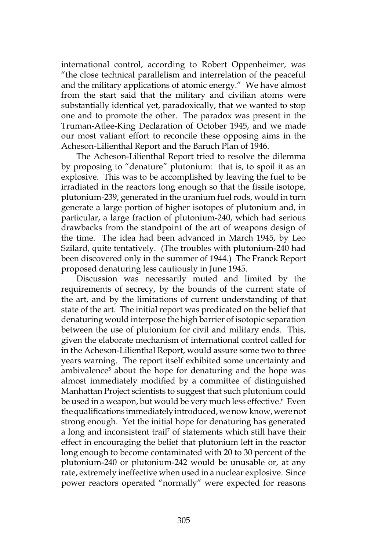international control, according to Robert Oppenheimer, was "the close technical parallelism and interrelation of the peaceful and the military applications of atomic energy." We have almost from the start said that the military and civilian atoms were substantially identical yet, paradoxically, that we wanted to stop one and to promote the other. The paradox was present in the Truman-Atlee-King Declaration of October 1945, and we made our most valiant effort to reconcile these opposing aims in the Acheson-Lilienthal Report and the Baruch Plan of 1946.

The Acheson-Lilienthal Report tried to resolve the dilemma by proposing to "denature" plutonium: that is, to spoil it as an explosive. This was to be accomplished by leaving the fuel to be irradiated in the reactors long enough so that the fissile isotope, plutonium-239, generated in the uranium fuel rods, would in turn generate a large portion of higher isotopes of plutonium and, in particular, a large fraction of plutonium-240, which had serious drawbacks from the standpoint of the art of weapons design of the time. The idea had been advanced in March 1945, by Leo Szilard, quite tentatively. (The troubles with plutonium-240 had been discovered only in the summer of 1944.) The Franck Report proposed denaturing less cautiously in June 1945.

Discussion was necessarily muted and limited by the requirements of secrecy, by the bounds of the current state of the art, and by the limitations of current understanding of that state of the art. The initial report was predicated on the belief that denaturing would interpose the high barrier of isotopic separation between the use of plutonium for civil and military ends. This, given the elaborate mechanism of international control called for in the Acheson-Lilienthal Report, would assure some two to three years warning. The report itself exhibited some uncertainty and ambivalence<sup>5</sup> about the hope for denaturing and the hope was almost immediately modified by a committee of distinguished Manhattan Project scientists to suggest that such plutonium could be used in a weapon, but would be very much less effective.6 Even the qualifications immediately introduced, we now know, were not strong enough. Yet the initial hope for denaturing has generated a long and inconsistent trail<sup>7</sup> of statements which still have their effect in encouraging the belief that plutonium left in the reactor long enough to become contaminated with 20 to 30 percent of the plutonium-240 or plutonium-242 would be unusable or, at any rate, extremely ineffective when used in a nuclear explosive. Since power reactors operated "normally" were expected for reasons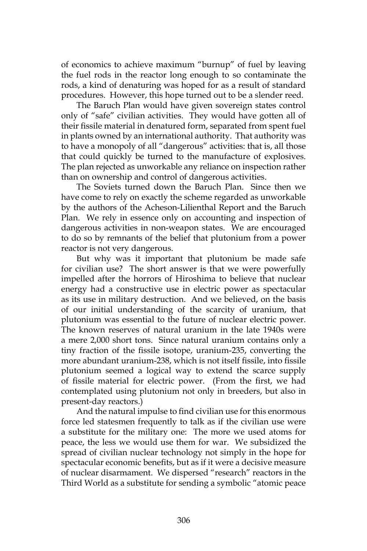of economics to achieve maximum "burnup" of fuel by leaving the fuel rods in the reactor long enough to so contaminate the rods, a kind of denaturing was hoped for as a result of standard procedures. However, this hope turned out to be a slender reed.

The Baruch Plan would have given sovereign states control only of "safe" civilian activities. They would have gotten all of their fissile material in denatured form, separated from spent fuel in plants owned by an international authority. That authority was to have a monopoly of all "dangerous" activities: that is, all those that could quickly be turned to the manufacture of explosives. The plan rejected as unworkable any reliance on inspection rather than on ownership and control of dangerous activities.

The Soviets turned down the Baruch Plan. Since then we have come to rely on exactly the scheme regarded as unworkable by the authors of the Acheson-Lilienthal Report and the Baruch Plan. We rely in essence only on accounting and inspection of dangerous activities in non-weapon states. We are encouraged to do so by remnants of the belief that plutonium from a power reactor is not very dangerous.

But why was it important that plutonium be made safe for civilian use? The short answer is that we were powerfully impelled after the horrors of Hiroshima to believe that nuclear energy had a constructive use in electric power as spectacular as its use in military destruction. And we believed, on the basis of our initial understanding of the scarcity of uranium, that plutonium was essential to the future of nuclear electric power. The known reserves of natural uranium in the late 1940s were a mere 2,000 short tons. Since natural uranium contains only a tiny fraction of the fissile isotope, uranium-235, converting the more abundant uranium-238, which is not itself fissile, into fissile plutonium seemed a logical way to extend the scarce supply of fissile material for electric power. (From the first, we had contemplated using plutonium not only in breeders, but also in present-day reactors.)

And the natural impulse to find civilian use for this enormous force led statesmen frequently to talk as if the civilian use were a substitute for the military one: The more we used atoms for peace, the less we would use them for war. We subsidized the spread of civilian nuclear technology not simply in the hope for spectacular economic benefits, but as if it were a decisive measure of nuclear disarmament. We dispersed "research" reactors in the Third World as a substitute for sending a symbolic "atomic peace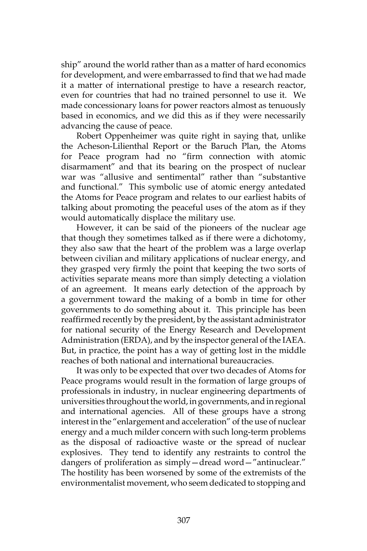ship" around the world rather than as a matter of hard economics for development, and were embarrassed to find that we had made it a matter of international prestige to have a research reactor, even for countries that had no trained personnel to use it. We made concessionary loans for power reactors almost as tenuously based in economics, and we did this as if they were necessarily advancing the cause of peace.

Robert Oppenheimer was quite right in saying that, unlike the Acheson-Lilienthal Report or the Baruch Plan, the Atoms for Peace program had no "firm connection with atomic disarmament" and that its bearing on the prospect of nuclear war was "allusive and sentimental" rather than "substantive and functional." This symbolic use of atomic energy antedated the Atoms for Peace program and relates to our earliest habits of talking about promoting the peaceful uses of the atom as if they would automatically displace the military use.

However, it can be said of the pioneers of the nuclear age that though they sometimes talked as if there were a dichotomy, they also saw that the heart of the problem was a large overlap between civilian and military applications of nuclear energy, and they grasped very firmly the point that keeping the two sorts of activities separate means more than simply detecting a violation of an agreement. It means early detection of the approach by a government toward the making of a bomb in time for other governments to do something about it. This principle has been reaffirmed recently by the president, by the assistant administrator for national security of the Energy Research and Development Administration (ERDA), and by the inspector general of the IAEA. But, in practice, the point has a way of getting lost in the middle reaches of both national and international bureaucracies.

It was only to be expected that over two decades of Atoms for Peace programs would result in the formation of large groups of professionals in industry, in nuclear engineering departments of universities throughout the world, in governments, and in regional and international agencies. All of these groups have a strong interest in the "enlargement and acceleration" of the use of nuclear energy and a much milder concern with such long-term problems as the disposal of radioactive waste or the spread of nuclear explosives. They tend to identify any restraints to control the dangers of proliferation as simply—dread word—"antinuclear." The hostility has been worsened by some of the extremists of the environmentalist movement, who seem dedicated to stopping and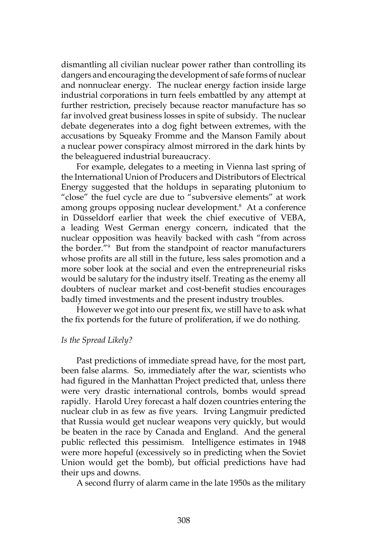dismantling all civilian nuclear power rather than controlling its dangers and encouraging the development of safe forms of nuclear and nonnuclear energy. The nuclear energy faction inside large industrial corporations in turn feels embattled by any attempt at further restriction, precisely because reactor manufacture has so far involved great business losses in spite of subsidy. The nuclear debate degenerates into a dog fight between extremes, with the accusations by Squeaky Fromme and the Manson Family about a nuclear power conspiracy almost mirrored in the dark hints by the beleaguered industrial bureaucracy.

For example, delegates to a meeting in Vienna last spring of the International Union of Producers and Distributors of Electrical Energy suggested that the holdups in separating plutonium to "close" the fuel cycle are due to "subversive elements" at work among groups opposing nuclear development.8 At a conference in Düsseldorf earlier that week the chief executive of VEBA, a leading West German energy concern, indicated that the nuclear opposition was heavily backed with cash "from across the border."9 But from the standpoint of reactor manufacturers whose profits are all still in the future, less sales promotion and a more sober look at the social and even the entrepreneurial risks would be salutary for the industry itself. Treating as the enemy all doubters of nuclear market and cost-benefit studies encourages badly timed investments and the present industry troubles.

However we got into our present fix, we still have to ask what the fix portends for the future of proliferation, if we do nothing.

#### *Is the Spread Likely?*

Past predictions of immediate spread have, for the most part, been false alarms. So, immediately after the war, scientists who had figured in the Manhattan Project predicted that, unless there were very drastic international controls, bombs would spread rapidly. Harold Urey forecast a half dozen countries entering the nuclear club in as few as five years. Irving Langmuir predicted that Russia would get nuclear weapons very quickly, but would be beaten in the race by Canada and England. And the general public reflected this pessimism. Intelligence estimates in 1948 were more hopeful (excessively so in predicting when the Soviet Union would get the bomb), but official predictions have had their ups and downs.

A second flurry of alarm came in the late 1950s as the military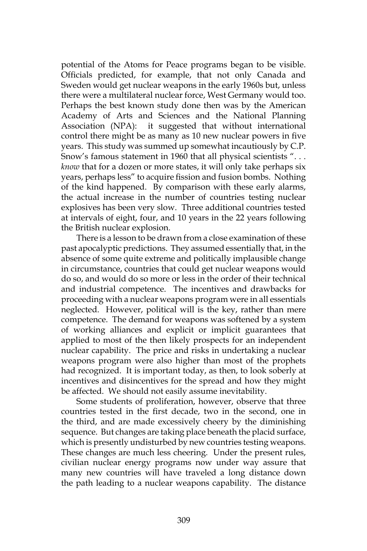potential of the Atoms for Peace programs began to be visible. Officials predicted, for example, that not only Canada and Sweden would get nuclear weapons in the early 1960s but, unless there were a multilateral nuclear force, West Germany would too. Perhaps the best known study done then was by the American Academy of Arts and Sciences and the National Planning Association (NPA): it suggested that without international control there might be as many as 10 new nuclear powers in five years. This study was summed up somewhat incautiously by C.P. Snow's famous statement in 1960 that all physical scientists ". . . *know* that for a dozen or more states, it will only take perhaps six years, perhaps less" to acquire fission and fusion bombs. Nothing of the kind happened. By comparison with these early alarms, the actual increase in the number of countries testing nuclear explosives has been very slow. Three additional countries tested at intervals of eight, four, and 10 years in the 22 years following the British nuclear explosion.

There is a lesson to be drawn from a close examination of these past apocalyptic predictions. They assumed essentially that, in the absence of some quite extreme and politically implausible change in circumstance, countries that could get nuclear weapons would do so, and would do so more or less in the order of their technical and industrial competence. The incentives and drawbacks for proceeding with a nuclear weapons program were in all essentials neglected. However, political will is the key, rather than mere competence. The demand for weapons was softened by a system of working alliances and explicit or implicit guarantees that applied to most of the then likely prospects for an independent nuclear capability. The price and risks in undertaking a nuclear weapons program were also higher than most of the prophets had recognized. It is important today, as then, to look soberly at incentives and disincentives for the spread and how they might be affected. We should not easily assume inevitability.

Some students of proliferation, however, observe that three countries tested in the first decade, two in the second, one in the third, and are made excessively cheery by the diminishing sequence. But changes are taking place beneath the placid surface, which is presently undisturbed by new countries testing weapons. These changes are much less cheering. Under the present rules, civilian nuclear energy programs now under way assure that many new countries will have traveled a long distance down the path leading to a nuclear weapons capability. The distance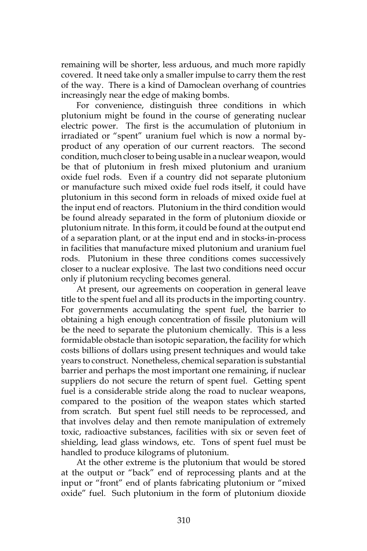remaining will be shorter, less arduous, and much more rapidly covered. It need take only a smaller impulse to carry them the rest of the way. There is a kind of Damoclean overhang of countries increasingly near the edge of making bombs.

For convenience, distinguish three conditions in which plutonium might be found in the course of generating nuclear electric power. The first is the accumulation of plutonium in irradiated or "spent" uranium fuel which is now a normal byproduct of any operation of our current reactors. The second condition, much closer to being usable in a nuclear weapon, would be that of plutonium in fresh mixed plutonium and uranium oxide fuel rods. Even if a country did not separate plutonium or manufacture such mixed oxide fuel rods itself, it could have plutonium in this second form in reloads of mixed oxide fuel at the input end of reactors. Plutonium in the third condition would be found already separated in the form of plutonium dioxide or plutonium nitrate. In this form, it could be found at the output end of a separation plant, or at the input end and in stocks-in-process in facilities that manufacture mixed plutonium and uranium fuel rods. Plutonium in these three conditions comes successively closer to a nuclear explosive. The last two conditions need occur only if plutonium recycling becomes general.

At present, our agreements on cooperation in general leave title to the spent fuel and all its products in the importing country. For governments accumulating the spent fuel, the barrier to obtaining a high enough concentration of fissile plutonium will be the need to separate the plutonium chemically. This is a less formidable obstacle than isotopic separation, the facility for which costs billions of dollars using present techniques and would take years to construct. Nonetheless, chemical separation is substantial barrier and perhaps the most important one remaining, if nuclear suppliers do not secure the return of spent fuel. Getting spent fuel is a considerable stride along the road to nuclear weapons, compared to the position of the weapon states which started from scratch. But spent fuel still needs to be reprocessed, and that involves delay and then remote manipulation of extremely toxic, radioactive substances, facilities with six or seven feet of shielding, lead glass windows, etc. Tons of spent fuel must be handled to produce kilograms of plutonium.

At the other extreme is the plutonium that would be stored at the output or "back" end of reprocessing plants and at the input or "front" end of plants fabricating plutonium or "mixed oxide" fuel. Such plutonium in the form of plutonium dioxide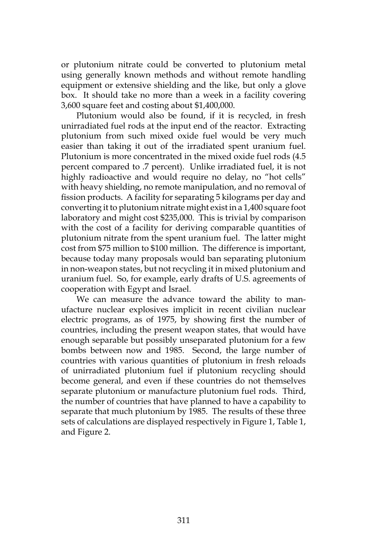or plutonium nitrate could be converted to plutonium metal using generally known methods and without remote handling equipment or extensive shielding and the like, but only a glove box. It should take no more than a week in a facility covering 3,600 square feet and costing about \$1,400,000.

Plutonium would also be found, if it is recycled, in fresh unirradiated fuel rods at the input end of the reactor. Extracting plutonium from such mixed oxide fuel would be very much easier than taking it out of the irradiated spent uranium fuel. Plutonium is more concentrated in the mixed oxide fuel rods (4.5 percent compared to .7 percent). Unlike irradiated fuel, it is not highly radioactive and would require no delay, no "hot cells" with heavy shielding, no remote manipulation, and no removal of fission products. A facility for separating 5 kilograms per day and converting it to plutonium nitrate might exist in a 1,400 square foot laboratory and might cost \$235,000. This is trivial by comparison with the cost of a facility for deriving comparable quantities of plutonium nitrate from the spent uranium fuel. The latter might cost from \$75 million to \$100 million. The difference is important, because today many proposals would ban separating plutonium in non-weapon states, but not recycling it in mixed plutonium and uranium fuel. So, for example, early drafts of U.S. agreements of cooperation with Egypt and Israel.

We can measure the advance toward the ability to manufacture nuclear explosives implicit in recent civilian nuclear electric programs, as of 1975, by showing first the number of countries, including the present weapon states, that would have enough separable but possibly unseparated plutonium for a few bombs between now and 1985. Second, the large number of countries with various quantities of plutonium in fresh reloads of unirradiated plutonium fuel if plutonium recycling should become general, and even if these countries do not themselves separate plutonium or manufacture plutonium fuel rods. Third, the number of countries that have planned to have a capability to separate that much plutonium by 1985. The results of these three sets of calculations are displayed respectively in Figure 1, Table 1, and Figure 2.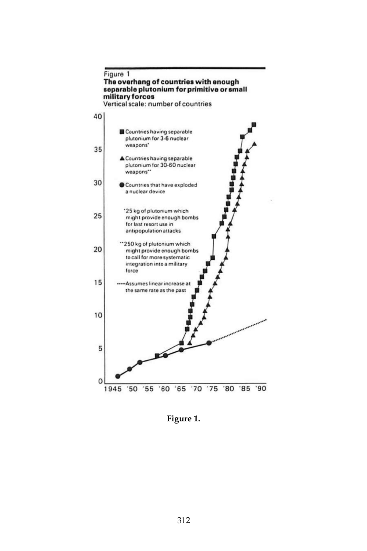

**Figure 1.**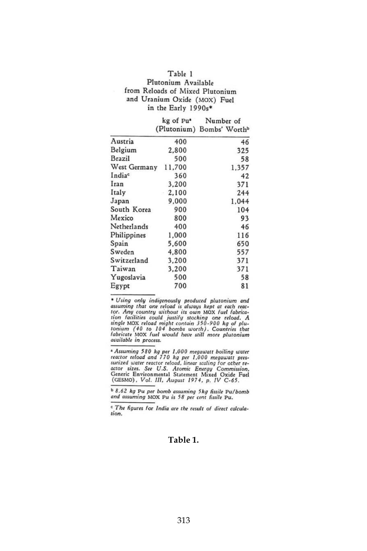#### Table 1

#### Plutonium Available from Reloads of Mixed Plutonium and Uranium Oxide (MOX) Fuel in the Early 1990s\*

|               | kg of Pu <sup>•</sup> | Number of<br>(Plutonium) Bombs' Worth <sup>b</sup> |
|---------------|-----------------------|----------------------------------------------------|
|               |                       |                                                    |
| Austria       | 400                   | 46                                                 |
| Belgium       | 2,800                 | 325                                                |
| <b>Brazil</b> | 500                   | 58                                                 |
| West Germany  | 11,700                | 1,357                                              |
| Indiac        | 360                   | 42                                                 |
| Iran          | 3,200                 | 371                                                |
| Italy         | 2,100                 | 244                                                |
| Japan         | 9,000                 | 1.044                                              |
| South Korea   | 900                   | 104                                                |
| Mexico        | 800                   | 93                                                 |
| Netherlands   | 400                   | 46                                                 |
| Philippines   | 1,000                 | 116                                                |
| Spain         | 5,600                 | 650                                                |
| Sweden        | 4,800                 | 557                                                |
| Switzerland   | 3,200                 | 371                                                |
| Taiwan        | 3,200                 | 371                                                |
| Yugoslavia    | 500                   | 58                                                 |
| Egypt         | 700                   | 81                                                 |

\* Using only indigenously produced plutonium and<br>assuming that one reload is always kept at each reac-<br>tor. Any country without its own MOX fuel fabrica-<br>tion facilities could justify stocking one reload. A<br>single MOX rel

# **Table 1.**

 $*$  Assuming 580 kg per 1,000 megawatt boiling water<br>reactor reload and 770 kg per 1,000 megawatt pressurized water reactor reload, linear scating for other re-<br>actor sizes. See U.S. Atomic Energy Commission,<br>Generic Envi

**b** 8.62 kg Pu per bomb assuming 5kg fissile Pu/bomb and assuming MOX Pu is 58 per cent fissile Pu.

<sup>&</sup>lt;sup>c</sup> The figures for India are the result of direct calculation.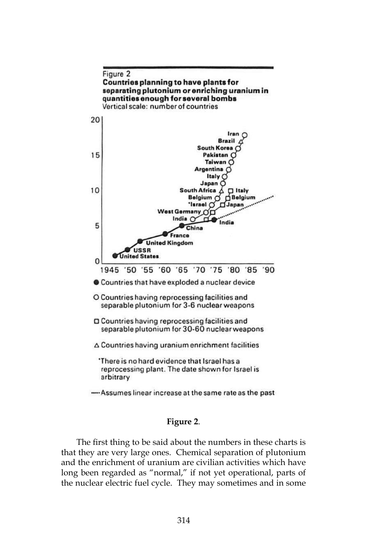

# **Figure 2**.

The first thing to be said about the numbers in these charts is that they are very large ones. Chemical separation of plutonium and the enrichment of uranium are civilian activities which have long been regarded as "normal," if not yet operational, parts of the nuclear electric fuel cycle. They may sometimes and in some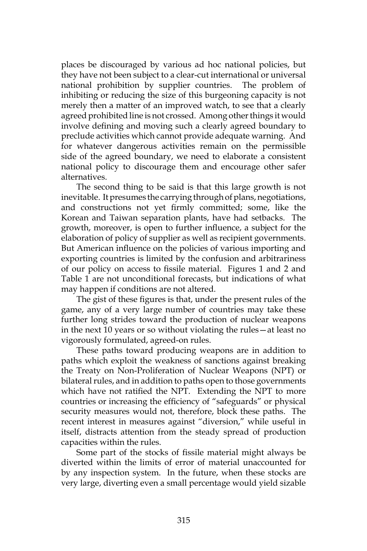places be discouraged by various ad hoc national policies, but they have not been subject to a clear-cut international or universal national prohibition by supplier countries. The problem of inhibiting or reducing the size of this burgeoning capacity is not merely then a matter of an improved watch, to see that a clearly agreed prohibited line is not crossed. Among other things it would involve defining and moving such a clearly agreed boundary to preclude activities which cannot provide adequate warning. And for whatever dangerous activities remain on the permissible side of the agreed boundary, we need to elaborate a consistent national policy to discourage them and encourage other safer alternatives.

The second thing to be said is that this large growth is not inevitable. It presumes the carrying through of plans, negotiations, and constructions not yet firmly committed; some, like the Korean and Taiwan separation plants, have had setbacks. The growth, moreover, is open to further influence, a subject for the elaboration of policy of supplier as well as recipient governments. But American influence on the policies of various importing and exporting countries is limited by the confusion and arbitrariness of our policy on access to fissile material. Figures 1 and 2 and Table 1 are not unconditional forecasts, but indications of what may happen if conditions are not altered.

The gist of these figures is that, under the present rules of the game, any of a very large number of countries may take these further long strides toward the production of nuclear weapons in the next 10 years or so without violating the rules—at least no vigorously formulated, agreed-on rules.

These paths toward producing weapons are in addition to paths which exploit the weakness of sanctions against breaking the Treaty on Non-Proliferation of Nuclear Weapons (NPT) or bilateral rules, and in addition to paths open to those governments which have not ratified the NPT. Extending the NPT to more countries or increasing the efficiency of "safeguards" or physical security measures would not, therefore, block these paths. The recent interest in measures against "diversion," while useful in itself, distracts attention from the steady spread of production capacities within the rules.

Some part of the stocks of fissile material might always be diverted within the limits of error of material unaccounted for by any inspection system. In the future, when these stocks are very large, diverting even a small percentage would yield sizable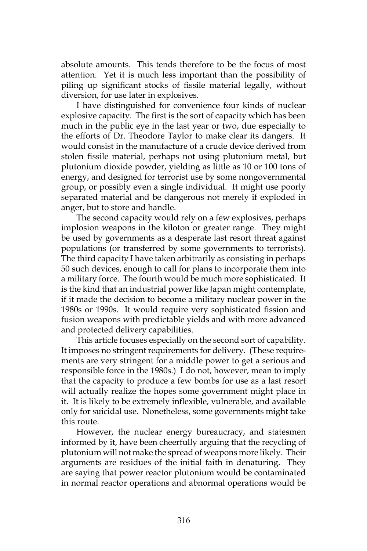absolute amounts. This tends therefore to be the focus of most attention. Yet it is much less important than the possibility of piling up significant stocks of fissile material legally, without diversion, for use later in explosives.

I have distinguished for convenience four kinds of nuclear explosive capacity. The first is the sort of capacity which has been much in the public eye in the last year or two, due especially to the efforts of Dr. Theodore Taylor to make clear its dangers. It would consist in the manufacture of a crude device derived from stolen fissile material, perhaps not using plutonium metal, but plutonium dioxide powder, yielding as little as 10 or 100 tons of energy, and designed for terrorist use by some nongovernmental group, or possibly even a single individual. It might use poorly separated material and be dangerous not merely if exploded in anger, but to store and handle.

The second capacity would rely on a few explosives, perhaps implosion weapons in the kiloton or greater range. They might be used by governments as a desperate last resort threat against populations (or transferred by some governments to terrorists). The third capacity I have taken arbitrarily as consisting in perhaps 50 such devices, enough to call for plans to incorporate them into a military force. The fourth would be much more sophisticated. It is the kind that an industrial power like Japan might contemplate, if it made the decision to become a military nuclear power in the 1980s or 1990s. It would require very sophisticated fission and fusion weapons with predictable yields and with more advanced and protected delivery capabilities.

This article focuses especially on the second sort of capability. It imposes no stringent requirements for delivery. (These requirements are very stringent for a middle power to get a serious and responsible force in the 1980s.) I do not, however, mean to imply that the capacity to produce a few bombs for use as a last resort will actually realize the hopes some government might place in it. It is likely to be extremely inflexible, vulnerable, and available only for suicidal use. Nonetheless, some governments might take this route.

However, the nuclear energy bureaucracy, and statesmen informed by it, have been cheerfully arguing that the recycling of plutonium will not make the spread of weapons more likely. Their arguments are residues of the initial faith in denaturing. They are saying that power reactor plutonium would be contaminated in normal reactor operations and abnormal operations would be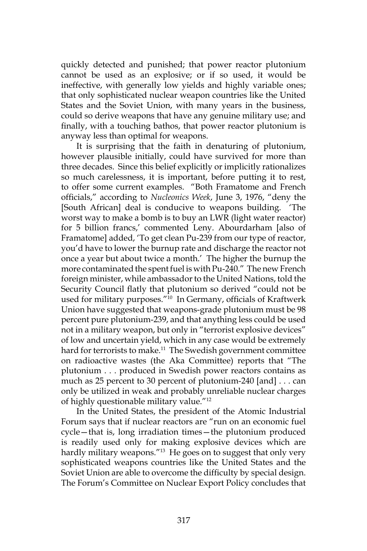quickly detected and punished; that power reactor plutonium cannot be used as an explosive; or if so used, it would be ineffective, with generally low yields and highly variable ones; that only sophisticated nuclear weapon countries like the United States and the Soviet Union, with many years in the business, could so derive weapons that have any genuine military use; and finally, with a touching bathos, that power reactor plutonium is anyway less than optimal for weapons.

It is surprising that the faith in denaturing of plutonium, however plausible initially, could have survived for more than three decades. Since this belief explicitly or implicitly rationalizes so much carelessness, it is important, before putting it to rest, to offer some current examples. "Both Framatome and French officials," according to *Nucleonics Week*, June 3, 1976, "deny the [South African] deal is conducive to weapons building. 'The worst way to make a bomb is to buy an LWR (light water reactor) for 5 billion francs,' commented Leny. Abourdarham [also of Framatome] added, 'To get clean Pu-239 from our type of reactor, you'd have to lower the burnup rate and discharge the reactor not once a year but about twice a month.' The higher the burnup the more contaminated the spent fuel is with Pu-240." The new French foreign minister, while ambassador to the United Nations, told the Security Council flatly that plutonium so derived "could not be used for military purposes."10 In Germany, officials of Kraftwerk Union have suggested that weapons-grade plutonium must be 98 percent pure plutonium-239, and that anything less could be used not in a military weapon, but only in "terrorist explosive devices" of low and uncertain yield, which in any case would be extremely hard for terrorists to make.<sup>11</sup> The Swedish government committee on radioactive wastes (the Aka Committee) reports that "The plutonium . . . produced in Swedish power reactors contains as much as 25 percent to 30 percent of plutonium-240 [and] . . . can only be utilized in weak and probably unreliable nuclear charges of highly questionable military value."12

In the United States, the president of the Atomic Industrial Forum says that if nuclear reactors are "run on an economic fuel cycle—that is, long irradiation times—the plutonium produced is readily used only for making explosive devices which are hardly military weapons."<sup>13</sup> He goes on to suggest that only very sophisticated weapons countries like the United States and the Soviet Union are able to overcome the difficulty by special design. The Forum's Committee on Nuclear Export Policy concludes that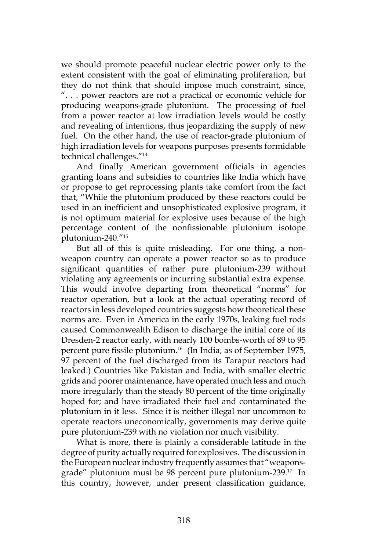we should promote peaceful nuclear electric power only to the extent consistent with the goal of eliminating proliferation, but they do not think that should impose much constraint, since, ". . . power reactors are not a practical or economic vehicle for producing weapons-grade plutonium. The processing of fuel from a power reactor at low irradiation levels would be costly and revealing of intentions, thus jeopardizing the supply of new fuel. On the other hand, the use of reactor-grade plutonium of high irradiation levels for weapons purposes presents formidable technical challenges."14

And finally American government officials in agencies granting loans and subsidies to countries like India which have or propose to get reprocessing plants take comfort from the fact that, "While the plutonium produced by these reactors could be used in an inefficient and unsophisticated explosive program, it is not optimum material for explosive uses because of the high percentage content of the nonfissionable plutonium isotope plutonium-240."15

But all of this is quite misleading. For one thing, a nonweapon country can operate a power reactor so as to produce significant quantities of rather pure plutonium-239 without violating any agreements or incurring substantial extra expense. This would involve departing from theoretical "norms" for reactor operation, but a look at the actual operating record of reactors in less developed countries suggests how theoretical these norms are. Even in America in the early 1970s, leaking fuel rods caused Commonwealth Edison to discharge the initial core of its Dresden-2 reactor early, with nearly 100 bombs-worth of 89 to 95 percent pure fissile plutonium.16 (In India, as of September 1975, 97 percent of the fuel discharged from its Tarapur reactors had leaked.) Countries like Pakistan and India, with smaller electric grids and poorer maintenance, have operated much less and much more irregularly than the steady 80 percent of the time originally hoped for; and have irradiated their fuel and contaminated the plutonium in it less. Since it is neither illegal nor uncommon to operate reactors uneconomically, governments may derive quite pure plutonium-239 with no violation nor much visibility.

What is more, there is plainly a considerable latitude in the degree of purity actually required for explosives. The discussion in the European nuclear industry frequently assumes that "weaponsgrade" plutonium must be 98 percent pure plutonium-239.17 In this country, however, under present classification guidance,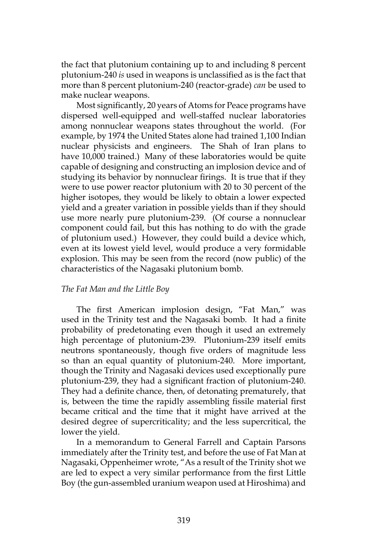the fact that plutonium containing up to and including 8 percent plutonium-240 *is* used in weapons is unclassified as is the fact that more than 8 percent plutonium-240 (reactor-grade) *can* be used to make nuclear weapons.

Most significantly, 20 years of Atoms for Peace programs have dispersed well-equipped and well-staffed nuclear laboratories among nonnuclear weapons states throughout the world. (For example, by 1974 the United States alone had trained 1,100 Indian nuclear physicists and engineers. The Shah of Iran plans to have 10,000 trained.) Many of these laboratories would be quite capable of designing and constructing an implosion device and of studying its behavior by nonnuclear firings. It is true that if they were to use power reactor plutonium with 20 to 30 percent of the higher isotopes, they would be likely to obtain a lower expected yield and a greater variation in possible yields than if they should use more nearly pure plutonium-239. (Of course a nonnuclear component could fail, but this has nothing to do with the grade of plutonium used.) However, they could build a device which, even at its lowest yield level, would produce a very formidable explosion. This may be seen from the record (now public) of the characteristics of the Nagasaki plutonium bomb.

# *The Fat Man and the Little Boy*

The first American implosion design, "Fat Man," was used in the Trinity test and the Nagasaki bomb. It had a finite probability of predetonating even though it used an extremely high percentage of plutonium-239. Plutonium-239 itself emits neutrons spontaneously, though five orders of magnitude less so than an equal quantity of plutonium-240. More important, though the Trinity and Nagasaki devices used exceptionally pure plutonium-239, they had a significant fraction of plutonium-240. They had a definite chance, then, of detonating prematurely, that is, between the time the rapidly assembling fissile material first became critical and the time that it might have arrived at the desired degree of supercriticality; and the less supercritical, the lower the yield.

In a memorandum to General Farrell and Captain Parsons immediately after the Trinity test, and before the use of Fat Man at Nagasaki, Oppenheimer wrote, "As a result of the Trinity shot we are led to expect a very similar performance from the first Little Boy (the gun-assembled uranium weapon used at Hiroshima) and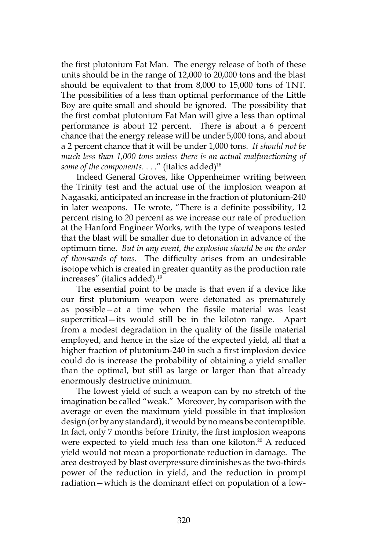the first plutonium Fat Man. The energy release of both of these units should be in the range of 12,000 to 20,000 tons and the blast should be equivalent to that from 8,000 to 15,000 tons of TNT. The possibilities of a less than optimal performance of the Little Boy are quite small and should be ignored. The possibility that the first combat plutonium Fat Man will give a less than optimal performance is about 12 percent. There is about a 6 percent chance that the energy release will be under 5,000 tons, and about a 2 percent chance that it will be under 1,000 tons. *It should not be much less than 1,000 tons unless there is an actual malfunctioning of*  some of the components. . . ." (italics added)<sup>18</sup>

Indeed General Groves, like Oppenheimer writing between the Trinity test and the actual use of the implosion weapon at Nagasaki, anticipated an increase in the fraction of plutonium-240 in later weapons. He wrote, "There is a definite possibility, 12 percent rising to 20 percent as we increase our rate of production at the Hanford Engineer Works, with the type of weapons tested that the blast will be smaller due to detonation in advance of the optimum time. *But in any event, the explosion should be on the order of thousands of tons.* The difficulty arises from an undesirable isotope which is created in greater quantity as the production rate increases" (italics added).<sup>19</sup>

The essential point to be made is that even if a device like our first plutonium weapon were detonated as prematurely as possible*—*at a time when the fissile material was least supercritical—its would still be in the kiloton range. Apart from a modest degradation in the quality of the fissile material employed, and hence in the size of the expected yield, all that a higher fraction of plutonium-240 in such a first implosion device could do is increase the probability of obtaining a yield smaller than the optimal, but still as large or larger than that already enormously destructive minimum.

The lowest yield of such a weapon can by no stretch of the imagination be called "weak." Moreover, by comparison with the average or even the maximum yield possible in that implosion design (or by any standard), it would by no means be contemptible. In fact, only 7 months before Trinity, the first implosion weapons were expected to yield much *less* than one kiloton.<sup>20</sup> A reduced yield would not mean a proportionate reduction in damage. The area destroyed by blast overpressure diminishes as the two-thirds power of the reduction in yield, and the reduction in prompt radiation—which is the dominant effect on population of a low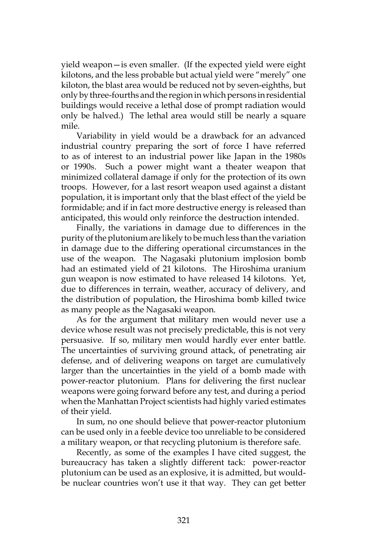yield weapon—is even smaller. (If the expected yield were eight kilotons, and the less probable but actual yield were "merely" one kiloton, the blast area would be reduced not by seven-eighths, but only by three-fourths and the region in which persons in residential buildings would receive a lethal dose of prompt radiation would only be halved.) The lethal area would still be nearly a square mile.

Variability in yield would be a drawback for an advanced industrial country preparing the sort of force I have referred to as of interest to an industrial power like Japan in the 1980s or 1990s. Such a power might want a theater weapon that minimized collateral damage if only for the protection of its own troops. However, for a last resort weapon used against a distant population, it is important only that the blast effect of the yield be formidable; and if in fact more destructive energy is released than anticipated, this would only reinforce the destruction intended.

Finally, the variations in damage due to differences in the purity of the plutonium are likely to be much less than the variation in damage due to the differing operational circumstances in the use of the weapon. The Nagasaki plutonium implosion bomb had an estimated yield of 21 kilotons. The Hiroshima uranium gun weapon is now estimated to have released 14 kilotons. Yet, due to differences in terrain, weather, accuracy of delivery, and the distribution of population, the Hiroshima bomb killed twice as many people as the Nagasaki weapon.

As for the argument that military men would never use a device whose result was not precisely predictable, this is not very persuasive. If so, military men would hardly ever enter battle. The uncertainties of surviving ground attack, of penetrating air defense, and of delivering weapons on target are cumulatively larger than the uncertainties in the yield of a bomb made with power-reactor plutonium. Plans for delivering the first nuclear weapons were going forward before any test, and during a period when the Manhattan Project scientists had highly varied estimates of their yield.

In sum, no one should believe that power-reactor plutonium can be used only in a feeble device too unreliable to be considered a military weapon, or that recycling plutonium is therefore safe.

Recently, as some of the examples I have cited suggest, the bureaucracy has taken a slightly different tack: power-reactor plutonium can be used as an explosive, it is admitted, but wouldbe nuclear countries won't use it that way. They can get better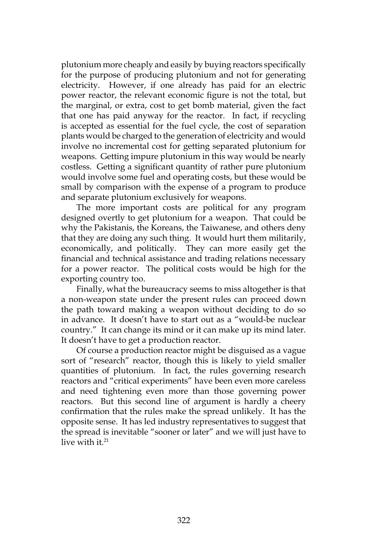plutonium more cheaply and easily by buying reactors specifically for the purpose of producing plutonium and not for generating electricity. However, if one already has paid for an electric power reactor, the relevant economic figure is not the total, but the marginal, or extra, cost to get bomb material, given the fact that one has paid anyway for the reactor. In fact, if recycling is accepted as essential for the fuel cycle, the cost of separation plants would be charged to the generation of electricity and would involve no incremental cost for getting separated plutonium for weapons. Getting impure plutonium in this way would be nearly costless. Getting a significant quantity of rather pure plutonium would involve some fuel and operating costs, but these would be small by comparison with the expense of a program to produce and separate plutonium exclusively for weapons.

The more important costs are political for any program designed overtly to get plutonium for a weapon. That could be why the Pakistanis, the Koreans, the Taiwanese, and others deny that they are doing any such thing. It would hurt them militarily, economically, and politically. They can more easily get the financial and technical assistance and trading relations necessary for a power reactor. The political costs would be high for the exporting country too.

Finally, what the bureaucracy seems to miss altogether is that a non-weapon state under the present rules can proceed down the path toward making a weapon without deciding to do so in advance. It doesn't have to start out as a "would-be nuclear country." It can change its mind or it can make up its mind later. It doesn't have to get a production reactor.

Of course a production reactor might be disguised as a vague sort of "research" reactor, though this is likely to yield smaller quantities of plutonium. In fact, the rules governing research reactors and "critical experiments" have been even more careless and need tightening even more than those governing power reactors. But this second line of argument is hardly a cheery confirmation that the rules make the spread unlikely. It has the opposite sense. It has led industry representatives to suggest that the spread is inevitable "sooner or later" and we will just have to live with it.<sup>21</sup>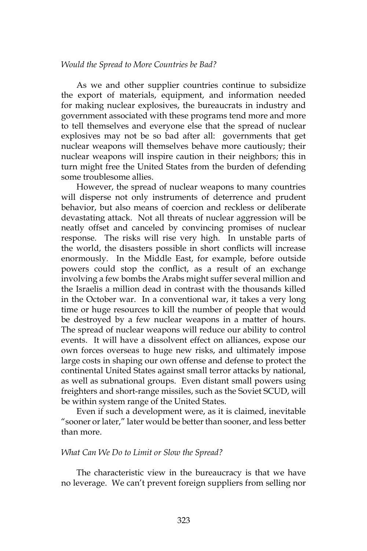#### *Would the Spread to More Countries be Bad?*

As we and other supplier countries continue to subsidize the export of materials, equipment, and information needed for making nuclear explosives, the bureaucrats in industry and government associated with these programs tend more and more to tell themselves and everyone else that the spread of nuclear explosives may not be so bad after all: governments that get nuclear weapons will themselves behave more cautiously; their nuclear weapons will inspire caution in their neighbors; this in turn might free the United States from the burden of defending some troublesome allies.

However, the spread of nuclear weapons to many countries will disperse not only instruments of deterrence and prudent behavior, but also means of coercion and reckless or deliberate devastating attack. Not all threats of nuclear aggression will be neatly offset and canceled by convincing promises of nuclear response. The risks will rise very high. In unstable parts of the world, the disasters possible in short conflicts will increase enormously. In the Middle East, for example, before outside powers could stop the conflict, as a result of an exchange involving a few bombs the Arabs might suffer several million and the Israelis a million dead in contrast with the thousands killed in the October war. In a conventional war, it takes a very long time or huge resources to kill the number of people that would be destroyed by a few nuclear weapons in a matter of hours. The spread of nuclear weapons will reduce our ability to control events. It will have a dissolvent effect on alliances, expose our own forces overseas to huge new risks, and ultimately impose large costs in shaping our own offense and defense to protect the continental United States against small terror attacks by national, as well as subnational groups. Even distant small powers using freighters and short-range missiles, such as the Soviet SCUD, will be within system range of the United States.

Even if such a development were, as it is claimed, inevitable "sooner or later," later would be better than sooner, and less better than more.

#### *What Can We Do to Limit or Slow the Spread?*

The characteristic view in the bureaucracy is that we have no leverage. We can't prevent foreign suppliers from selling nor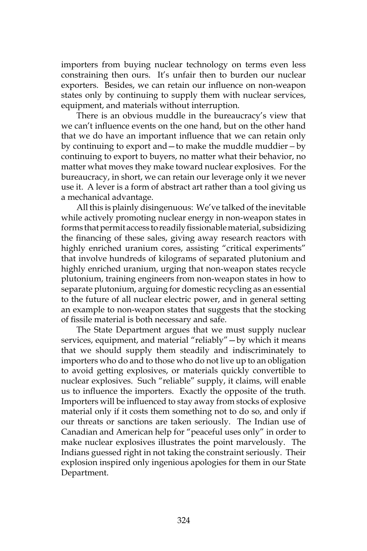importers from buying nuclear technology on terms even less constraining then ours. It's unfair then to burden our nuclear exporters.Besides, we can retain our influence on non-weapon states only by continuing to supply them with nuclear services, equipment, and materials without interruption.

There is an obvious muddle in the bureaucracy's view that we can't influence events on the one hand, but on the other hand that we do have an important influence that we can retain only by continuing to export and—to make the muddle muddier*—*by continuing to export to buyers, no matter what their behavior, no matter what moves they make toward nuclear explosives.For the bureaucracy, in short, we can retain our leverage only it we never use it. A lever is a form of abstract art rather than a tool giving us a mechanical advantage.

All this is plainly disingenuous: We've talked of the inevitable while actively promoting nuclear energy in non-weapon states in forms that permit access to readily fissionable material, subsidizing the financing of these sales, giving away research reactors with highly enriched uranium cores, assisting "critical experiments" that involve hundreds of kilograms of separated plutonium and highly enriched uranium, urging that non-weapon states recycle plutonium, training engineers from non-weapon states in how to separate plutonium, arguing for domestic recycling as an essential to the future of all nuclear electric power, and in general setting an example to non-weapon states that suggests that the stocking of fissile material is both necessary and safe.

The State Department argues that we must supply nuclear services, equipment, and material "reliably"—by which it means that we should supply them steadily and indiscriminately to importers who do and to those who do not live up to an obligation to avoid getting explosives, or materials quickly convertible to nuclear explosives. Such "reliable" supply, it claims, will enable us to influence the importers. Exactly the opposite of the truth. Importers will be influenced to stay away from stocks of explosive material only if it costs them something not to do so, and only if our threats or sanctions are taken seriously. The Indian use of Canadian and American help for "peaceful uses only" in order to make nuclear explosives illustrates the point marvelously. The Indians guessed right in not taking the constraint seriously. Their explosion inspired only ingenious apologies for them in our State Department.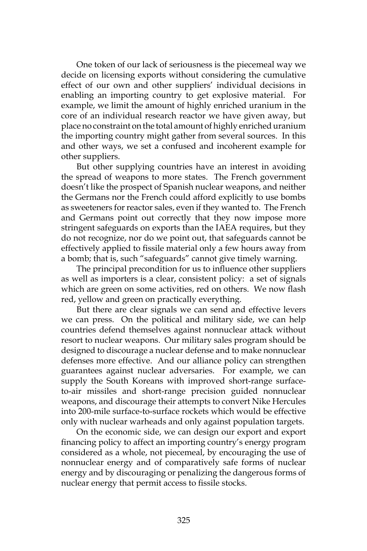One token of our lack of seriousness is the piecemeal way we decide on licensing exports without considering the cumulative effect of our own and other suppliers' individual decisions in enabling an importing country to get explosive material. For example, we limit the amount of highly enriched uranium in the core of an individual research reactor we have given away, but place no constraint on the total amount of highly enriched uranium the importing country might gather from several sources. In this and other ways, we set a confused and incoherent example for other suppliers.

But other supplying countries have an interest in avoiding the spread of weapons to more states. The French government doesn't like the prospect of Spanish nuclear weapons, and neither the Germans nor the French could afford explicitly to use bombs as sweeteners for reactor sales, even if they wanted to. The French and Germans point out correctly that they now impose more stringent safeguards on exports than the IAEA requires, but they do not recognize, nor do we point out, that safeguards cannot be effectively applied to fissile material only a few hours away from a bomb; that is, such "safeguards" cannot give timely warning.

The principal precondition for us to influence other suppliers as well as importers is a clear, consistent policy: a set of signals which are green on some activities, red on others. We now flash red, yellow and green on practically everything.

But there are clear signals we can send and effective levers we can press. On the political and military side, we can help countries defend themselves against nonnuclear attack without resort to nuclear weapons. Our military sales program should be designed to discourage a nuclear defense and to make nonnuclear defenses more effective. And our alliance policy can strengthen guarantees against nuclear adversaries. For example, we can supply the South Koreans with improved short-range surfaceto-air missiles and short-range precision guided nonnuclear weapons, and discourage their attempts to convert Nike Hercules into 200-mile surface-to-surface rockets which would be effective only with nuclear warheads and only against population targets.

On the economic side, we can design our export and export financing policy to affect an importing country's energy program considered as a whole, not piecemeal, by encouraging the use of nonnuclear energy and of comparatively safe forms of nuclear energy and by discouraging or penalizing the dangerous forms of nuclear energy that permit access to fissile stocks.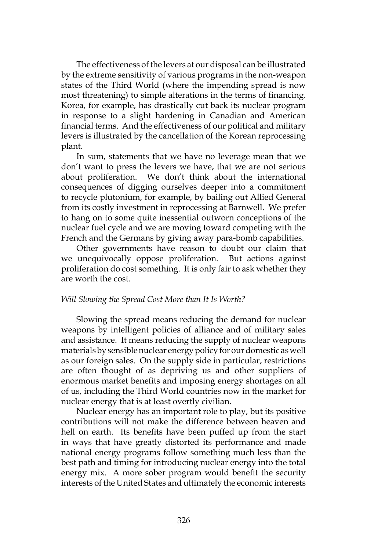The effectiveness of the levers at our disposal can be illustrated by the extreme sensitivity of various programs in the non-weapon states of the Third World (where the impending spread is now most threatening) to simple alterations in the terms of financing. Korea, for example, has drastically cut back its nuclear program in response to a slight hardening in Canadian and American financial terms. And the effectiveness of our political and military levers is illustrated by the cancellation of the Korean reprocessing plant.

In sum, statements that we have no leverage mean that we don't want to press the levers we have, that we are not serious about proliferation. We don't think about the international consequences of digging ourselves deeper into a commitment to recycle plutonium, for example, by bailing out Allied General from its costly investment in reprocessing at Barnwell. We prefer to hang on to some quite inessential outworn conceptions of the nuclear fuel cycle and we are moving toward competing with the French and the Germans by giving away para-bomb capabilities.

Other governments have reason to doubt our claim that we unequivocally oppose proliferation. But actions against proliferation do cost something. It is only fair to ask whether they are worth the cost.

# *Will Slowing the Spread Cost More than It Is Worth?*

Slowing the spread means reducing the demand for nuclear weapons by intelligent policies of alliance and of military sales and assistance. It means reducing the supply of nuclear weapons materials by sensible nuclear energy policy for our domestic as well as our foreign sales. On the supply side in particular, restrictions are often thought of as depriving us and other suppliers of enormous market benefits and imposing energy shortages on all of us, including the Third World countries now in the market for nuclear energy that is at least overtly civilian.

Nuclear energy has an important role to play, but its positive contributions will not make the difference between heaven and hell on earth. Its benefits have been puffed up from the start in ways that have greatly distorted its performance and made national energy programs follow something much less than the best path and timing for introducing nuclear energy into the total energy mix. A more sober program would benefit the security interests of the United States and ultimately the economic interests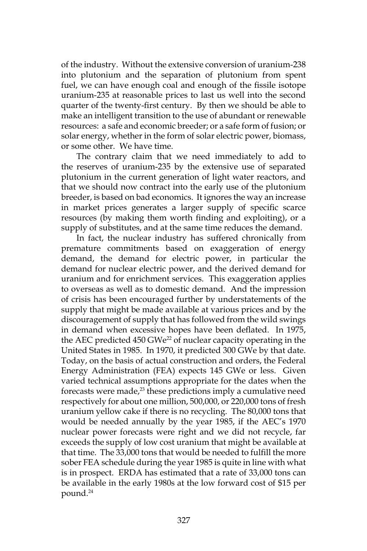of the industry. Without the extensive conversion of uranium-238 into plutonium and the separation of plutonium from spent fuel, we can have enough coal and enough of the fissile isotope uranium-235 at reasonable prices to last us well into the second quarter of the twenty-first century. By then we should be able to make an intelligent transition to the use of abundant or renewable resources: a safe and economic breeder; or a safe form of fusion; or solar energy, whether in the form of solar electric power, biomass, or some other. We have time.

The contrary claim that we need immediately to add to the reserves of uranium-235 by the extensive use of separated plutonium in the current generation of light water reactors, and that we should now contract into the early use of the plutonium breeder, is based on bad economics. It ignores the way an increase in market prices generates a larger supply of specific scarce resources (by making them worth finding and exploiting), or a supply of substitutes, and at the same time reduces the demand.

In fact, the nuclear industry has suffered chronically from premature commitments based on exaggeration of energy demand, the demand for electric power, in particular the demand for nuclear electric power, and the derived demand for uranium and for enrichment services. This exaggeration applies to overseas as well as to domestic demand. And the impression of crisis has been encouraged further by understatements of the supply that might be made available at various prices and by the discouragement of supply that has followed from the wild swings in demand when excessive hopes have been deflated. In 1975, the AEC predicted 450 GWe<sup>22</sup> of nuclear capacity operating in the United States in 1985. In 1970, it predicted 300 GWe by that date. Today, on the basis of actual construction and orders, the Federal Energy Administration (FEA) expects 145 GWe or less. Given varied technical assumptions appropriate for the dates when the forecasts were made,<sup>23</sup> these predictions imply a cumulative need respectively for about one million, 500,000, or 220,000 tons of fresh uranium yellow cake if there is no recycling. The 80,000 tons that would be needed annually by the year 1985, if the AEC's 1970 nuclear power forecasts were right and we did not recycle, far exceeds the supply of low cost uranium that might be available at that time. The 33,000 tons that would be needed to fulfill the more sober FEA schedule during the year 1985 is quite in line with what is in prospect. ERDA has estimated that a rate of 33,000 tons can be available in the early 1980s at the low forward cost of \$15 per pound.<sup>24</sup>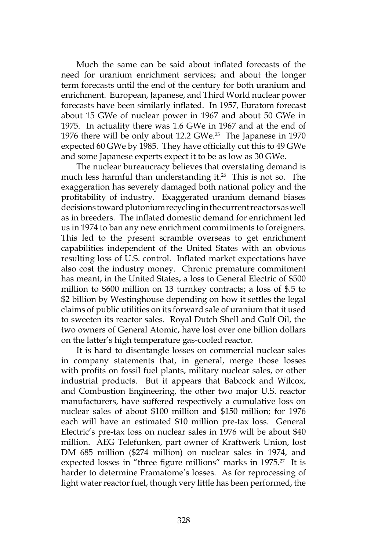Much the same can be said about inflated forecasts of the need for uranium enrichment services; and about the longer term forecasts until the end of the century for both uranium and enrichment. European, Japanese, and Third World nuclear power forecasts have been similarly inflated. In 1957, Euratom forecast about 15 GWe of nuclear power in 1967 and about 50 GWe in 1975. In actuality there was 1.6 GWe in 1967 and at the end of 1976 there will be only about 12.2 GWe.25 The Japanese in 1970 expected 60 GWe by 1985. They have officially cut this to 49 GWe and some Japanese experts expect it to be as low as 30 GWe.

The nuclear bureaucracy believes that overstating demand is much less harmful than understanding it.<sup>26</sup> This is not so. The exaggeration has severely damaged both national policy and the profitability of industry. Exaggerated uranium demand biases decisions toward plutonium recycling in the current reactors as well as in breeders. The inflated domestic demand for enrichment led us in 1974 to ban any new enrichment commitments to foreigners. This led to the present scramble overseas to get enrichment capabilities independent of the United States with an obvious resulting loss of U.S. control. Inflated market expectations have also cost the industry money. Chronic premature commitment has meant, in the United States, a loss to General Electric of \$500 million to \$600 million on 13 turnkey contracts; a loss of \$.5 to \$2 billion by Westinghouse depending on how it settles the legal claims of public utilities on its forward sale of uranium that it used to sweeten its reactor sales. Royal Dutch Shell and Gulf Oil, the two owners of General Atomic, have lost over one billion dollars on the latter's high temperature gas-cooled reactor.

It is hard to disentangle losses on commercial nuclear sales in company statements that, in general, merge those losses with profits on fossil fuel plants, military nuclear sales, or other industrial products. But it appears that Babcock and Wilcox, and Combustion Engineering, the other two major U.S. reactor manufacturers, have suffered respectively a cumulative loss on nuclear sales of about \$100 million and \$150 million; for 1976 each will have an estimated \$10 million pre-tax loss. General Electric's pre-tax loss on nuclear sales in 1976 will be about \$40 million. AEG Telefunken, part owner of Kraftwerk Union, lost DM 685 million (\$274 million) on nuclear sales in 1974, and expected losses in "three figure millions" marks in 1975.<sup>27</sup> It is harder to determine Framatome's losses. As for reprocessing of light water reactor fuel, though very little has been performed, the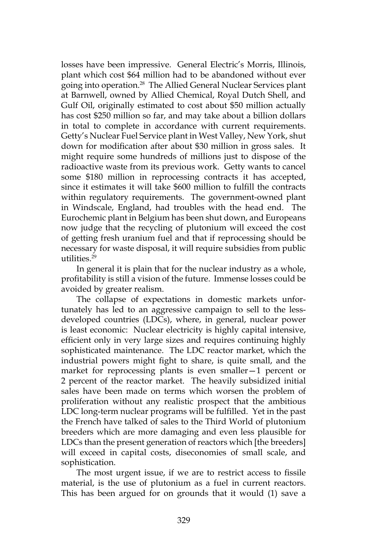losses have been impressive. General Electric's Morris, Illinois, plant which cost \$64 million had to be abandoned without ever going into operation.28 The Allied General Nuclear Services plant at Barnwell, owned by Allied Chemical, Royal Dutch Shell, and Gulf Oil, originally estimated to cost about \$50 million actually has cost \$250 million so far, and may take about a billion dollars in total to complete in accordance with current requirements. Getty's Nuclear Fuel Service plant in West Valley, New York, shut down for modification after about \$30 million in gross sales. It might require some hundreds of millions just to dispose of the radioactive waste from its previous work. Getty wants to cancel some \$180 million in reprocessing contracts it has accepted, since it estimates it will take \$600 million to fulfill the contracts within regulatory requirements. The government-owned plant in Windscale, England, had troubles with the head end. The Eurochemic plant in Belgium has been shut down, and Europeans now judge that the recycling of plutonium will exceed the cost of getting fresh uranium fuel and that if reprocessing should be necessary for waste disposal, it will require subsidies from public utilities.29

In general it is plain that for the nuclear industry as a whole, profitability is still a vision of the future. Immense losses could be avoided by greater realism.

The collapse of expectations in domestic markets unfortunately has led to an aggressive campaign to sell to the lessdeveloped countries (LDCs), where, in general, nuclear power is least economic: Nuclear electricity is highly capital intensive, efficient only in very large sizes and requires continuing highly sophisticated maintenance. The LDC reactor market, which the industrial powers might fight to share, is quite small, and the market for reprocessing plants is even smaller—1 percent or 2 percent of the reactor market. The heavily subsidized initial sales have been made on terms which worsen the problem of proliferation without any realistic prospect that the ambitious LDC long-term nuclear programs will be fulfilled. Yet in the past the French have talked of sales to the Third World of plutonium breeders which are more damaging and even less plausible for LDCs than the present generation of reactors which [the breeders] will exceed in capital costs, diseconomies of small scale, and sophistication.

The most urgent issue, if we are to restrict access to fissile material, is the use of plutonium as a fuel in current reactors. This has been argued for on grounds that it would (1) save a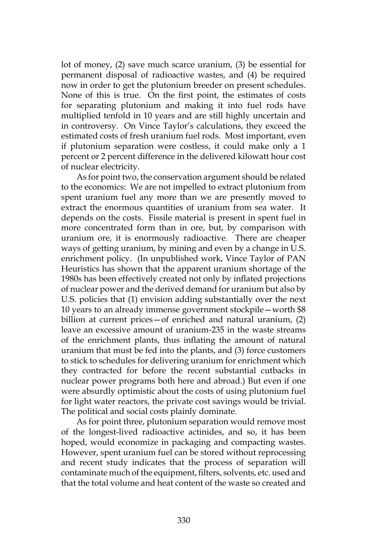lot of money, (2) save much scarce uranium, (3) be essential for permanent disposal of radioactive wastes, and (4) be required now in order to get the plutonium breeder on present schedules. None of this is true. On the first point, the estimates of costs for separating plutonium and making it into fuel rods have multiplied tenfold in 10 years and are still highly uncertain and in controversy. On Vince Taylor's calculations, they exceed the estimated costs of fresh uranium fuel rods. Most important, even if plutonium separation were costless, it could make only a 1 percent or 2 percent difference in the delivered kilowatt hour cost of nuclear electricity.

As for point two, the conservation argument should be related to the economics: We are not impelled to extract plutonium from spent uranium fuel any more than we are presently moved to extract the enormous quantities of uranium from sea water. It depends on the costs. Fissile material is present in spent fuel in more concentrated form than in ore, but, by comparison with uranium ore, it is enormously radioactive. There are cheaper ways of getting uranium, by mining and even by a change in U.S. enrichment policy. (In unpublished work, Vince Taylor of PAN Heuristics has shown that the apparent uranium shortage of the 1980s has been effectively created not only by inflated projections of nuclear power and the derived demand for uranium but also by U.S. policies that (1) envision adding substantially over the next 10 years to an already immense government stockpile—worth \$8 billion at current prices—of enriched and natural uranium, (2) leave an excessive amount of uranium-235 in the waste streams of the enrichment plants, thus inflating the amount of natural uranium that must be fed into the plants, and (3) force customers to stick to schedules for delivering uranium for enrichment which they contracted for before the recent substantial cutbacks in nuclear power programs both here and abroad.) But even if one were absurdly optimistic about the costs of using plutonium fuel for light water reactors, the private cost savings would be trivial. The political and social costs plainly dominate.

As for point three, plutonium separation would remove most of the longest-lived radioactive actinides, and so, it has been hoped, would economize in packaging and compacting wastes. However, spent uranium fuel can be stored without reprocessing and recent study indicates that the process of separation will contaminate much of the equipment, filters, solvents, etc. used and that the total volume and heat content of the waste so created and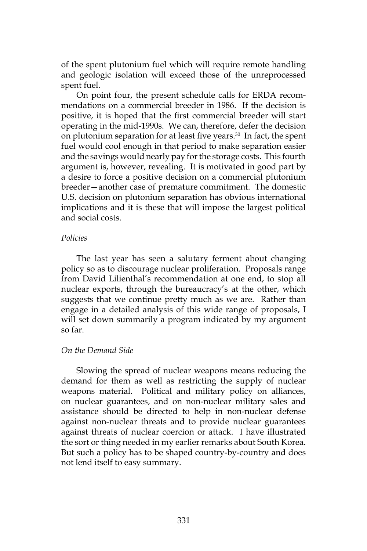of the spent plutonium fuel which will require remote handling and geologic isolation will exceed those of the unreprocessed spent fuel.

On point four, the present schedule calls for ERDA recommendations on a commercial breeder in 1986. If the decision is positive, it is hoped that the first commercial breeder will start operating in the mid-1990s. We can, therefore, defer the decision on plutonium separation for at least five years.30 In fact, the spent fuel would cool enough in that period to make separation easier and the savings would nearly pay for the storage costs. This fourth argument is, however, revealing. It is motivated in good part by a desire to force a positive decision on a commercial plutonium breeder—another case of premature commitment. The domestic U.S. decision on plutonium separation has obvious international implications and it is these that will impose the largest political and social costs.

# *Policies*

The last year has seen a salutary ferment about changing policy so as to discourage nuclear proliferation. Proposals range from David Lilienthal's recommendation at one end, to stop all nuclear exports, through the bureaucracy's at the other, which suggests that we continue pretty much as we are. Rather than engage in a detailed analysis of this wide range of proposals, I will set down summarily a program indicated by my argument so far.

# *On the Demand Side*

Slowing the spread of nuclear weapons means reducing the demand for them as well as restricting the supply of nuclear weapons material. Political and military policy on alliances, on nuclear guarantees, and on non-nuclear military sales and assistance should be directed to help in non-nuclear defense against non-nuclear threats and to provide nuclear guarantees against threats of nuclear coercion or attack. I have illustrated the sort or thing needed in my earlier remarks about South Korea. But such a policy has to be shaped country-by-country and does not lend itself to easy summary.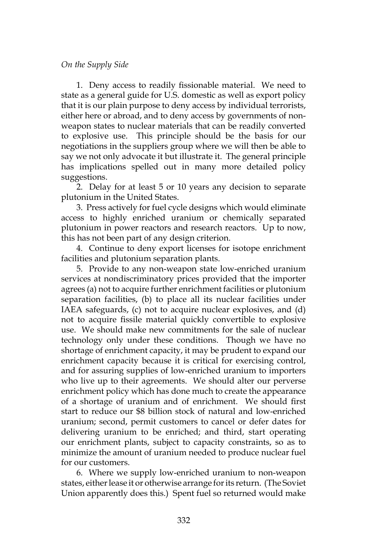### *On the Supply Side*

1. Deny access to readily fissionable material. We need to state as a general guide for U.S. domestic as well as export policy that it is our plain purpose to deny access by individual terrorists, either here or abroad, and to deny access by governments of nonweapon states to nuclear materials that can be readily converted to explosive use. This principle should be the basis for our negotiations in the suppliers group where we will then be able to say we not only advocate it but illustrate it. The general principle has implications spelled out in many more detailed policy suggestions.

2. Delay for at least 5 or 10 years any decision to separate plutonium in the United States.

3. Press actively for fuel cycle designs which would eliminate access to highly enriched uranium or chemically separated plutonium in power reactors and research reactors. Up to now, this has not been part of any design criterion.

4. Continue to deny export licenses for isotope enrichment facilities and plutonium separation plants.

5. Provide to any non-weapon state low-enriched uranium services at nondiscriminatory prices provided that the importer agrees (a) not to acquire further enrichment facilities or plutonium separation facilities, (b) to place all its nuclear facilities under IAEA safeguards, (c) not to acquire nuclear explosives, and (d) not to acquire fissile material quickly convertible to explosive use. We should make new commitments for the sale of nuclear technology only under these conditions. Though we have no shortage of enrichment capacity, it may be prudent to expand our enrichment capacity because it is critical for exercising control, and for assuring supplies of low-enriched uranium to importers who live up to their agreements. We should alter our perverse enrichment policy which has done much to create the appearance of a shortage of uranium and of enrichment. We should first start to reduce our \$8 billion stock of natural and low-enriched uranium; second, permit customers to cancel or defer dates for delivering uranium to be enriched; and third, start operating our enrichment plants, subject to capacity constraints, so as to minimize the amount of uranium needed to produce nuclear fuel for our customers.

6. Where we supply low-enriched uranium to non-weapon states, either lease it or otherwise arrange for its return. (The Soviet Union apparently does this.) Spent fuel so returned would make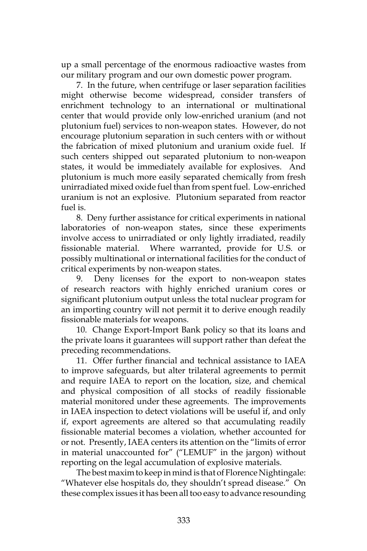up a small percentage of the enormous radioactive wastes from our military program and our own domestic power program.

7. In the future, when centrifuge or laser separation facilities might otherwise become widespread, consider transfers of enrichment technology to an international or multinational center that would provide only low-enriched uranium (and not plutonium fuel) services to non-weapon states. However, do not encourage plutonium separation in such centers with or without the fabrication of mixed plutonium and uranium oxide fuel. If such centers shipped out separated plutonium to non-weapon states, it would be immediately available for explosives. And plutonium is much more easily separated chemically from fresh unirradiated mixed oxide fuel than from spent fuel. Low-enriched uranium is not an explosive. Plutonium separated from reactor fuel is.

8. Deny further assistance for critical experiments in national laboratories of non-weapon states, since these experiments involve access to unirradiated or only lightly irradiated, readily fissionable material. Where warranted, provide for U.S. or possibly multinational or international facilities for the conduct of critical experiments by non-weapon states.

9. Deny licenses for the export to non-weapon states of research reactors with highly enriched uranium cores or significant plutonium output unless the total nuclear program for an importing country will not permit it to derive enough readily fissionable materials for weapons.

10. Change Export-Import Bank policy so that its loans and the private loans it guarantees will support rather than defeat the preceding recommendations.

11. Offer further financial and technical assistance to IAEA to improve safeguards, but alter trilateral agreements to permit and require IAEA to report on the location, size, and chemical and physical composition of all stocks of readily fissionable material monitored under these agreements. The improvements in IAEA inspection to detect violations will be useful if, and only if, export agreements are altered so that accumulating readily fissionable material becomes a violation, whether accounted for or not. Presently, IAEA centers its attention on the "limits of error in material unaccounted for" ("LEMUF" in the jargon) without reporting on the legal accumulation of explosive materials.

The best maxim to keep in mind is that of Florence Nightingale: "Whatever else hospitals do, they shouldn't spread disease." On these complex issues it has been all too easy to advance resounding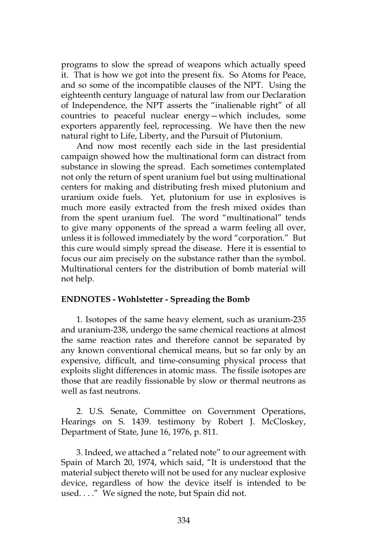programs to slow the spread of weapons which actually speed it. That is how we got into the present fix. So Atoms for Peace, and so some of the incompatible clauses of the NPT. Using the eighteenth century language of natural law from our Declaration of Independence, the NPT asserts the "inalienable right" of all countries to peaceful nuclear energy—which includes, some exporters apparently feel, reprocessing. We have then the new natural right to Life, Liberty, and the Pursuit of Plutonium.

And now most recently each side in the last presidential campaign showed how the multinational form can distract from substance in slowing the spread. Each sometimes contemplated not only the return of spent uranium fuel but using multinational centers for making and distributing fresh mixed plutonium and uranium oxide fuels. Yet, plutonium for use in explosives is much more easily extracted from the fresh mixed oxides than from the spent uranium fuel. The word "multinational" tends to give many opponents of the spread a warm feeling all over, unless it is followed immediately by the word "corporation." But this cure would simply spread the disease. Here it is essential to focus our aim precisely on the substance rather than the symbol. Multinational centers for the distribution of bomb material will not help.

# **ENDNOTES - Wohlstetter - Spreading the Bomb**

1. Isotopes of the same heavy element, such as uranium-235 and uranium-238, undergo the same chemical reactions at almost the same reaction rates and therefore cannot be separated by any known conventional chemical means, but so far only by an expensive, difficult, and time-consuming physical process that exploits slight differences in atomic mass. The fissile isotopes are those that are readily fissionable by slow or thermal neutrons as well as fast neutrons.

2. U.S. Senate, Committee on Government Operations, Hearings on S. 1439. testimony by Robert J. McCloskey, Department of State, June 16, 1976, p. 811.

3. Indeed, we attached a "related note" to our agreement with Spain of March 20, 1974, which said, "It is understood that the material subject thereto will not be used for any nuclear explosive device, regardless of how the device itself is intended to be used. . . ." We signed the note, but Spain did not.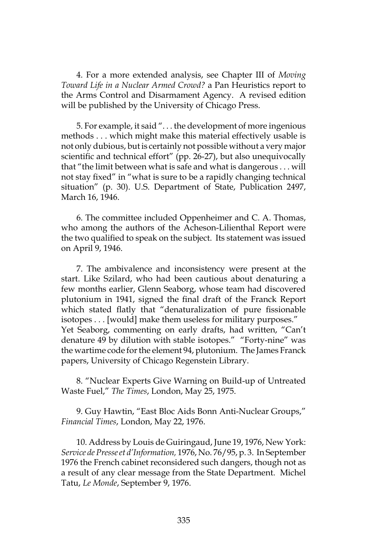4. For a more extended analysis, see Chapter III of *Moving Toward Life in a Nuclear Armed Crowd?* a Pan Heuristics report to the Arms Control and Disarmament Agency. A revised edition will be published by the University of Chicago Press.

5. For example, it said ". . . the development of more ingenious methods . . . which might make this material effectively usable is not only dubious, but is certainly not possible without a very major scientific and technical effort" (pp. 26-27), but also unequivocally that "the limit between what is safe and what is dangerous . . . will not stay fixed" in "what is sure to be a rapidly changing technical situation" (p. 30). U.S. Department of State, Publication 2497, March 16, 1946.

6. The committee included Oppenheimer and C. A. Thomas, who among the authors of the Acheson-Lilienthal Report were the two qualified to speak on the subject. Its statement was issued on April 9, 1946.

7. The ambivalence and inconsistency were present at the start. Like Szilard, who had been cautious about denaturing a few months earlier, Glenn Seaborg, whose team had discovered plutonium in 1941, signed the final draft of the Franck Report which stated flatly that "denaturalization of pure fissionable isotopes . . . [would] make them useless for military purposes." Yet Seaborg, commenting on early drafts, had written, "Can't denature 49 by dilution with stable isotopes." "Forty-nine" was the wartime code for the element 94, plutonium. The James Franck papers, University of Chicago Regenstein Library.

8. "Nuclear Experts Give Warning on Build-up of Untreated Waste Fuel," *The Times*, London, May 25, 1975.

9. Guy Hawtin, "East Bloc Aids Bonn Anti-Nuclear Groups," *Financial Times*, London, May 22, 1976.

10. Address by Louis de Guiringaud, June 19, 1976, New York: *Service de Presse et d'Information,* 1976, No. 76/95, p. 3. In September 1976 the French cabinet reconsidered such dangers, though not as a result of any clear message from the State Department. Michel Tatu, *Le Monde*, September 9, 1976.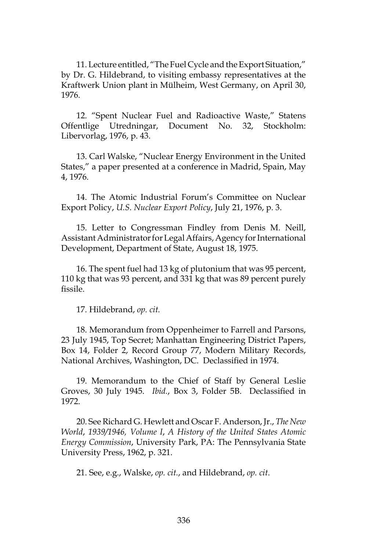11. Lecture entitled, "The Fuel Cycle and the Export Situation," by Dr. G. Hildebrand, to visiting embassy representatives at the Kraftwerk Union plant in Mülheim, West Germany, on April 30, 1976.

12. "Spent Nuclear Fuel and Radioactive Waste," Statens Offentlige Utredningar, Document No. 32, Stockholm: Libervorlag, 1976, p. 43.

13. Carl Walske, "Nuclear Energy Environment in the United States," a paper presented at a conference in Madrid, Spain, May 4, 1976.

14. The Atomic Industrial Forum's Committee on Nuclear Export Policy, *U.S. Nuclear Export Policy*, July 21, 1976, p. 3.

15. Letter to Congressman Findley from Denis M. Neill, Assistant Administrator for Legal Affairs, Agency for International Development, Department of State, August 18, 1975.

16. The spent fuel had 13 kg of plutonium that was 95 percent, 110 kg that was 93 percent, and 331 kg that was 89 percent purely fissile.

17. Hildebrand, *op. cit.*

18. Memorandum from Oppenheimer to Farrell and Parsons, 23 July 1945, Top Secret; Manhattan Engineering District Papers, Box 14, Folder 2, Record Group 77, Modern Military Records, National Archives, Washington, DC. Declassified in 1974.

19. Memorandum to the Chief of Staff by General Leslie Groves, 30 July 1945. *Ibid.*, Box 3, Folder 5B. Declassified in 1972.

20. See Richard G. Hewlett and Oscar F. Anderson, Jr., *The New World*, *1939/1946, Volume I*, *A History of the United States Atomic Energy Commission*, University Park, PA: The Pennsylvania State University Press, 1962, p. 321.

21. See, e.g., Walske, *op. cit.*, and Hildebrand, *op. cit*.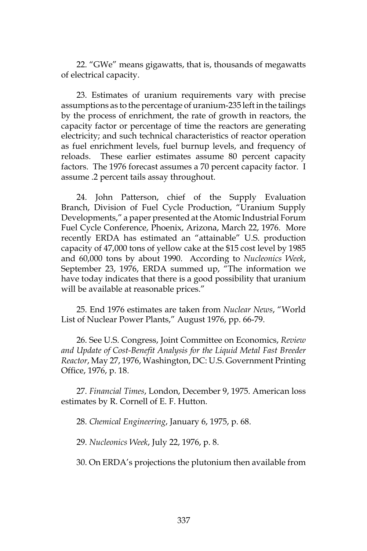22. "GWe" means gigawatts, that is, thousands of megawatts of electrical capacity.

23. Estimates of uranium requirements vary with precise assumptions as to the percentage of uranium-235 left in the tailings by the process of enrichment, the rate of growth in reactors, the capacity factor or percentage of time the reactors are generating electricity; and such technical characteristics of reactor operation as fuel enrichment levels, fuel burnup levels, and frequency of reloads. These earlier estimates assume 80 percent capacity factors. The 1976 forecast assumes a 70 percent capacity factor. I assume .2 percent tails assay throughout.

24. John Patterson, chief of the Supply Evaluation Branch, Division of Fuel Cycle Production, "Uranium Supply Developments," a paper presented at the Atomic Industrial Forum Fuel Cycle Conference, Phoenix, Arizona, March 22, 1976. More recently ERDA has estimated an "attainable" U.S. production capacity of 47,000 tons of yellow cake at the \$15 cost level by 1985 and 60,000 tons by about 1990. According to *Nucleonics Week*, September 23, 1976, ERDA summed up, "The information we have today indicates that there is a good possibility that uranium will be available at reasonable prices."

25. End 1976 estimates are taken from *Nuclear News*, "World List of Nuclear Power Plants," August 1976, pp. 66-79.

26. See U.S. Congress, Joint Committee on Economics, *Review and Update of Cost-Benefit Analysis for the Liquid Metal Fast Breeder Reactor*, May 27, 1976, Washington, DC: U.S. Government Printing Office, 1976, p. 18.

27. *Financial Times*, London, December 9, 1975. American loss estimates by R. Cornell of E. F. Hutton.

28. *Chemical Engineering*, January 6, 1975, p. 68.

29. *Nucleonics Week*, July 22, 1976, p. 8.

30. On ERDA's projections the plutonium then available from